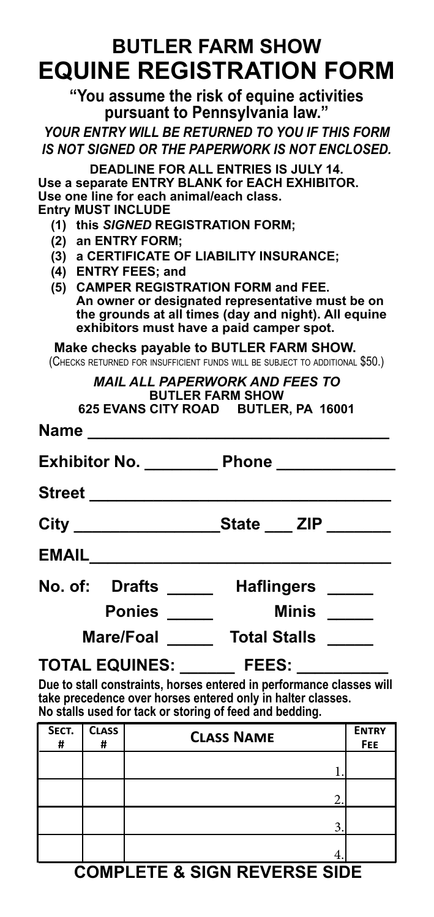## **BUTLER FARM SHOW EQUINE REGISTRATION FORM**

**"You assume the risk of equine activities pursuant to Pennsylvania law."**

*YOUR ENTRY WILL BE RETURNED TO YOU IF THIS FORM IS NOT SIGNED OR THE PAPERWORK IS NOT ENCLOSED.*

**DEADLINE FOR ALL ENTRIES IS JULY 14. Use a separate ENTRY BLANK for EACH EXHIBITOR. Use one line for each animal/each class.**

**Entry MUST INCLUDE** 

- **(1) this** *SIGNED* **REGISTRATION FORM;**
- **(2) an ENTRY FORM;**
- **(3) a CERTIFICATE OF LIABILITY INSURANCE;**
- **(4) ENTRY FEES; and**
- **(5) CAMPER REGISTRATION FORM and FEE. An owner or designated representative must be on the grounds at all times (day and night). All equine exhibitors must have a paid camper spot.**

**Make checks payable to BUTLER FARM SHOW.**

(Checks returned for insufficient funds will be subject to additional \$50.)

#### *MAIL ALL PAPERWORK AND FEES TO* **BUTLER FARM SHOW 625 EVANS CITY ROAD BUTLER, PA 16001**

|                 | Exhibitor No. ____________ Phone _______________                                                       |
|-----------------|--------------------------------------------------------------------------------------------------------|
|                 |                                                                                                        |
|                 |                                                                                                        |
|                 |                                                                                                        |
|                 | No. of: Drafts _____ Haflingers _____                                                                  |
| Ponies _____    | Minis $\frac{1}{\sqrt{1-\frac{1}{2}}\sqrt{1-\frac{1}{2}}\left( \frac{1}{\sqrt{1-\frac{1}{2}}}\right)}$ |
| Mare/Foal _____ | Total Stalls _____                                                                                     |
|                 | TOTAL EQUINES: _______ FEES: _________                                                                 |

**Due to stall constraints, horses entered in performance classes will take precedence over horses entered only in halter classes. No stalls used for tack or storing of feed and bedding.**

| SECT.<br># | <b>CLASS</b><br># | <b>CLASS NAME</b> | <b>ENTRY</b><br><b>FEE</b> |
|------------|-------------------|-------------------|----------------------------|
|            |                   |                   |                            |
|            |                   |                   |                            |
|            |                   | 3                 |                            |
|            |                   |                   |                            |

### **COMPLETE & SIGN REVERSE SIDE**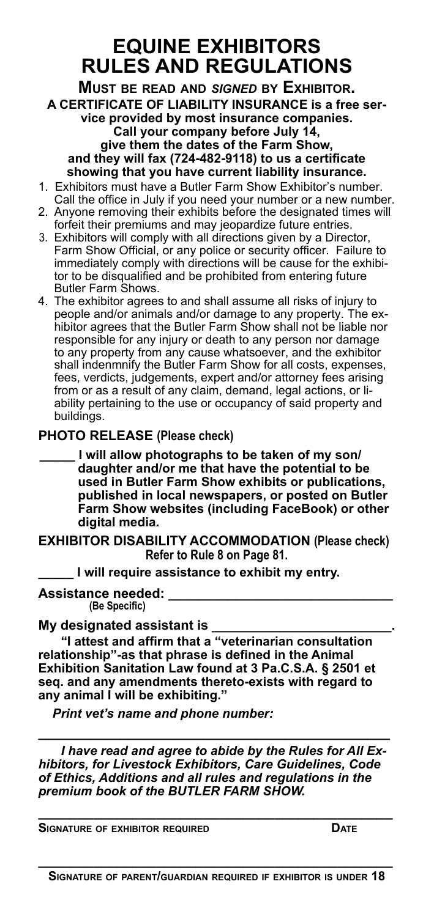### **EQUINE EXHIBITORS RULES AND REGULATIONS**

**Must be read and** *signed* **by Exhibitor. A CERTIFICATE OF LIABILITY INSURANCE is a free service provided by most insurance companies. Call your company before July 14, give them the dates of the Farm Show, and they will fax (724-482-9118) to us a certificate showing that you have current liability insurance.**

- 1. Exhibitors must have a Butler Farm Show Exhibitor's number. Call the office in July if you need your number or a new number.
- 2. Anyone removing their exhibits before the designated times will forfeit their premiums and may jeopardize future entries.
- 3. Exhibitors will comply with all directions given by a Director, Farm Show Official, or any police or security officer. Failure to immediately comply with directions will be cause for the exhibitor to be disqualified and be prohibited from entering future Butler Farm Shows.
- 4. The exhibitor agrees to and shall assume all risks of injury to people and/or animals and/or damage to any property. The exhibitor agrees that the Butler Farm Show shall not be liable nor responsible for any injury or death to any person nor damage to any property from any cause whatsoever, and the exhibitor shall indenmnify the Butler Farm Show for all costs, expenses, fees, verdicts, judgements, expert and/or attorney fees arising from or as a result of any claim, demand, legal actions, or liability pertaining to the use or occupancy of said property and buildings.

### **PHOTO RELEASE (Please check)**

**\_\_\_\_\_ I will allow photographs to be taken of my son/ daughter and/or me that have the potential to be used in Butler Farm Show exhibits or publications, published in local newspapers, or posted on Butler Farm Show websites (including FaceBook) or other digital media.**

**EXHIBITOR DISABILITY ACCOMMODATION (Please check) Refer to Rule 8 on Page 81.**

**\_\_\_\_\_ I will require assistance to exhibit my entry.**

**Assistance needed: \_\_\_\_\_\_\_\_\_\_\_\_\_\_\_\_\_\_\_\_\_\_\_\_\_\_\_\_\_\_ (Be Specific)**

#### **My designated assistant is \_\_\_\_\_\_\_\_\_\_\_\_\_\_\_\_\_\_\_\_\_\_\_\_.**

**"I attest and affirm that a "veterinarian consultation relationship"-as that phrase is defined in the Animal Exhibition Sanitation Law found at 3 Pa.C.S.A. § 2501 et seq. and any amendments thereto-exists with regard to any animal I will be exhibiting."**

*Print vet's name and phone number:*

*I have read and agree to abide by the Rules for All Exhibitors, for Livestock Exhibitors, Care Guidelines, Code of Ethics, Additions and all rules and regulations in the premium book of the BUTLER FARM SHOW.*

**\_\_\_\_\_\_\_\_\_\_\_\_\_\_\_\_\_\_\_\_\_\_\_\_\_\_\_\_\_\_\_\_\_\_\_\_\_\_\_\_\_\_\_\_\_**

**\_\_\_\_\_\_\_\_\_\_\_\_\_\_\_\_\_\_\_\_\_\_\_\_\_\_\_\_\_\_\_\_\_\_\_\_\_\_\_\_\_\_\_\_\_\_\_**

**Signature of exhibitor required Date**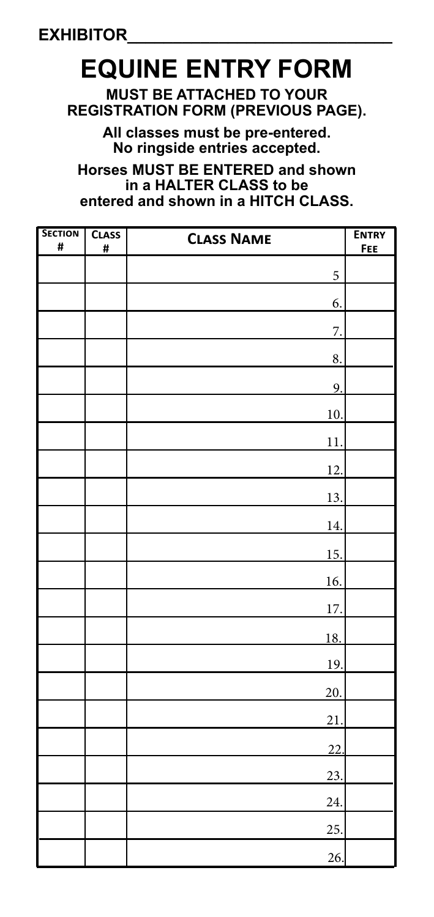# **EQUINE ENTRY FORM**

**MUST BE ATTACHED TO YOUR REGISTRATION FORM (PREVIOUS PAGE).**

> **All classes must be pre-entered. No ringside entries accepted.**

**Horses MUST BE ENTERED and shown in a HALTER CLASS to be entered and shown in a HITCH CLASS.**

| <b>SECTION</b><br># | <b>CLASS</b><br># | <b>CLASS NAME</b> | <b>ENTRY</b><br><b>FEE</b> |
|---------------------|-------------------|-------------------|----------------------------|
|                     |                   | 5                 |                            |
|                     |                   | 6.                |                            |
|                     |                   | $\overline{7}$ .  |                            |
|                     |                   | 8.                |                            |
|                     |                   | 9.                |                            |
|                     |                   | 10.               |                            |
|                     |                   | 11.               |                            |
|                     |                   | 12.               |                            |
|                     |                   | 13.               |                            |
|                     |                   | 14.               |                            |
|                     |                   | 15.               |                            |
|                     |                   | 16.               |                            |
|                     |                   | 17.               |                            |
|                     |                   | 18.               |                            |
|                     |                   | <u>19.</u>        |                            |
|                     |                   | 20.               |                            |
|                     |                   | 21.               |                            |
|                     |                   | 22.               |                            |
|                     |                   | 23.               |                            |
|                     |                   | 24.               |                            |
|                     |                   | 25.               |                            |
|                     |                   | 26.               |                            |